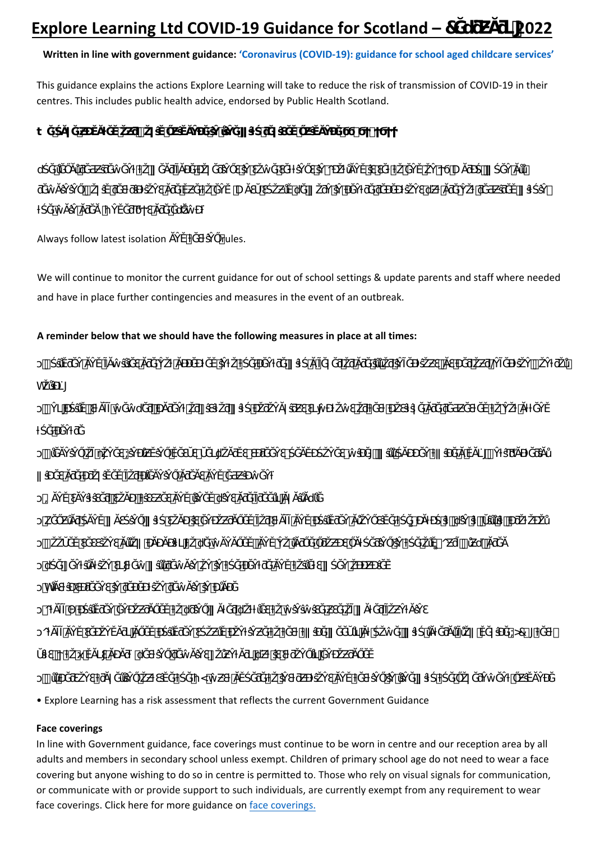# **Written in line with government guidance: 'Coronavirus (COVID-19): guidance for school aged childcare services'**

This guidance explains the actions Explore Learning will take to reduce the risk of transmission of COVID-19 in their centres. This includes public health advice, endorsed by Public Health Scotland.

|  |                                            |  |  |  | $\ddagger$ and the set of $\ddagger$ and $\ddagger$ and $\ddagger$ and $\ddagger$ and $\ddagger$ and $\ddagger$ and $\ddagger$ and $\ddagger$ and $\ddagger$ and $\ddagger$ and $\ddagger$ and $\ddagger$ and $\ddagger$ and $\ddagger$ and $\ddagger$ and $\ddagger$ and $\ddagger$ and $\ddagger$ and $\ddagger$ and $\ddagger$ and |                                                                                                                                      |  |  |
|--|--------------------------------------------|--|--|--|---------------------------------------------------------------------------------------------------------------------------------------------------------------------------------------------------------------------------------------------------------------------------------------------------------------------------------------|--------------------------------------------------------------------------------------------------------------------------------------|--|--|
|  |                                            |  |  |  |                                                                                                                                                                                                                                                                                                                                       | $\mathsf{u}$ . The state of the state of the state of the state $\mathsf{o}$ , and the state of the $\mathsf{u}$ -state of the state |  |  |
|  |                                            |  |  |  |                                                                                                                                                                                                                                                                                                                                       | $\#$ . The set of the set of ${\bf U}$ , the set of the set of the set of the set of the set of the set of the set                   |  |  |
|  | and the state of the state of the state of |  |  |  |                                                                                                                                                                                                                                                                                                                                       |                                                                                                                                      |  |  |

Always follow latest isolation Trules.

We will continue to monitor the current guidance for out of school settings & update parents and staff where needed and have in place further contingencies and measures in the event of an outbreak.

## **A reminder below that we should have the following measures in place at all times:**

|                | $\frac{1}{2}$ and $\frac{1}{2}$ are the contract of the contract of the contract of $\frac{1}{2}$ and $\frac{1}{2}$ and $\frac{1}{2}$ and $\frac{1}{2}$ and $\frac{1}{2}$ and $\frac{1}{2}$ and $\frac{1}{2}$ and $\frac{1}{2}$ and $\frac{1}{2}$ and $\frac{1}{2}$ and $\frac{1$ |  |
|----------------|-----------------------------------------------------------------------------------------------------------------------------------------------------------------------------------------------------------------------------------------------------------------------------------|--|
| h              |                                                                                                                                                                                                                                                                                   |  |
|                |                                                                                                                                                                                                                                                                                   |  |
|                | $\mathcal{L}_{\mathcal{A}}$ and $\mathcal{L}_{\mathcal{A}}$ are the set of the set of the set of the set of the set of the set of the set of the set of the set of the set of the set of the set of the set of the set of the set of the set of the set<br>#                      |  |
|                | $\alpha$ , and the state of the state of the state of the state of the state of the state of $\alpha$                                                                                                                                                                             |  |
|                | 그는 아이들이 아이들이 아이들이 어려운 것이 아이들이 아이들이 있다.                                                                                                                                                                                                                                            |  |
| Ϊk             | a series en la care de la proposició de la care de la care de la care de la care de la care de la care de la c                                                                                                                                                                    |  |
|                | $\mathbb{R}^n$ . The contract of the contract of the contract of the contract of $\mathbb{C}^n$ , $\mathbb{R}^n$                                                                                                                                                                  |  |
| <b>u</b>       | . For a simple polarization of the state of the state of the state of the state of the state of the state of the state of the state of the state of the state of the state of the state of the state of the state of the stat                                                     |  |
| h              | $\mathcal{O}(\mathcal{O}(n))$ and $\mathcal{O}(\mathcal{O}(n))$ is a set of the set of the set of the $\mathcal{O}(\mathcal{O}(n))$                                                                                                                                               |  |
| $\overline{O}$ | is the set of the set of the set of the set of the set of the set of the set of the set of the set of the set of the set of the set of the set of the set of the set of the set of the set of the set of the set of the set o                                                     |  |
| $\circ$        | . The contract of the contract of the contract of the contract of $\sigma$ $\infty$                                                                                                                                                                                               |  |
|                | where the term of the same particles in the contribution of the same particles of the $\mathbf{u}$                                                                                                                                                                                |  |
|                | <u>and the second control of the second control of the second control of the second control of the second control of the second control of the second control of the second control of the second control of the second control </u>                                              |  |

• Explore Learning has a risk assessment that reflects the current Government Guidance

## **Face coverings**

In line with Government guidance, face coverings must continue to be worn in centre and our reception area by all adults and members in secondary school unless exempt. Children of primary school age do not need to wear a face covering but anyone wishing to do so in centre is permitted to. Those who rely on visual signals for communication, or communicate with or provide support to such individuals, are currently exempt from any requirement to wear face coverings. Click here for more guidance on face coverings.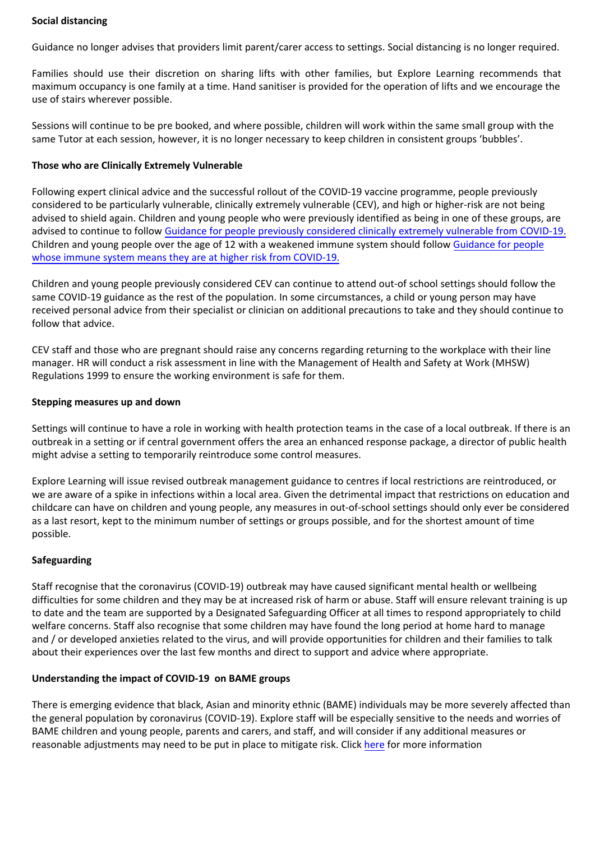#### **Social distancing**

Guidance no longer advises that providers limit parent/carer access to settings. Social distancing is no longer required.

Families should use their discretion on s[haring lifts with other families, but Explore Learning recommends that](https://www.gov.scot/publications/coronavirus-covid-19-school-age-childcare-services/)  maximum occupancy is one family at a time. Hand sanitiser is provided for the operation of lifts and we encourage the use of stairs wherever possible.

Sessions will continue to be pre booked, and where possible, children will work within the same small group with the same Tutor at each session, however, it is no longer necessary to keep children in consistent groups 'bubbles'.

#### **Those who are Clinically Extremely Vulnerable**

Following expert clinical advice and the successful rollout of the COVID-19 vaccine programme, people previously considered to be particularly vulnerable, clinically extremely vulnerable (CEV), and high or higher-risk are not being advised to shield again. Children and young people who were previously identified as being in one of these groups, are advised to continue to follow [Guidance for people previously considered clinically extremely vulnerable from COVID-19.](https://www.gov.uk/government/publications/guidance-on-shielding-and-protecting-extremely-vulnerable-persons-from-covid-19/guidance-on-shielding-and-protecting-extremely-vulnerable-persons-from-covid-19) [Children and young people over the age of 12 with a weakened immune system should follow Guidance for people](https://www.gov.uk/government/publications/covid-19-guidance-for-people-whose-immune-system-means-they-are-at-higher-risk/covid-19-guidance-for-people-whose-immune-system-means-they-are-at-higher-risk)  whose immune system means they are at higher risk from COVID-19.

Children and young pe[ople previously considered CEV can continue to attend out-of school settings should follow the](https://www.gov.uk/government/publications/guidance-on-shielding-and-protecting-extremely-vulnerable-persons-from-covid-19/guidance-on-shielding-and-protecting-extremely-vulnerable-persons-from-covid-19#who-this-guidance-is-for)  [same COVID](https://www.gov.uk/government/publications/guidance-on-shielding-and-protecting-extremely-vulnerable-persons-from-covid-19/guidance-on-shielding-and-protecting-extremely-vulnerable-persons-from-covid-19#who-this-guidance-is-for)-19 guidance as the rest of the population. In some circumstances, a child or young person may have received personal advice from their specialist or clinician on additional precautions to take and they should continue to follow that advice.

CEV staff and those who are pregnant should raise any concerns regarding returning to the workplace with their line manager. HR will conduct a risk assessment in line with the Management of Health and Safety at Work (MHSW) Regulations 1999 to ensure the working environment is safe for them.

#### **Stepping measures up and down**

Settings will continue to have a role in working with health protection teams in the case of a local outbreak. If there is an outbreak in a setting or if central government offers the area an enhanced response package, a director of public health might advise a setting to temporarily reintroduce some control measures.

Explore Learning will issue revised outbreak management guidance to centres if local restrictions are reintroduced, or we are aware of a spike in infections within a local area. Given the detrimental impact that restrictions on education and childcare can have on children and young people, any measures in out-of-school settings should only ever be considered as a last resort, kept to the minimum number of settings or groups possible, and for the shortest amount of time possible.

## **Safeguarding**

Staff recognise that the coronavirus (COVID-19) outbreak may have caused significant mental health or wellbeing difficulties for some children and they may be at increased risk of harm or abuse. Staff will ensure relevant training is up to date and the team are supported by a Designated Safeguarding Officer at all times to respond appropriately to child welfare concerns. Staff also recognise that some children may have found the long period at home hard to manage and / or developed anxieties related to the virus, and will provide opportunities for children and their families to talk about their experiences over the last few months and direct to support and advice where appropriate.

## **Understanding the impact of COVID-19 on BAME groups**

There is emerging evidence that black, Asian and minority ethnic (BAME) individuals may be more severely affected than the general population by coronavirus (COVID-19). Explore staff will be especially sensitive to the needs and worries of BAME children and young people, parents and carers, and staff, and will consider if any additional measures or reasonable adjustments may need to be put in place to mitigate risk. Click [here](https://www.gov.uk/government/publications/covid-19-understanding-the-impact-on-bame-communities) for more information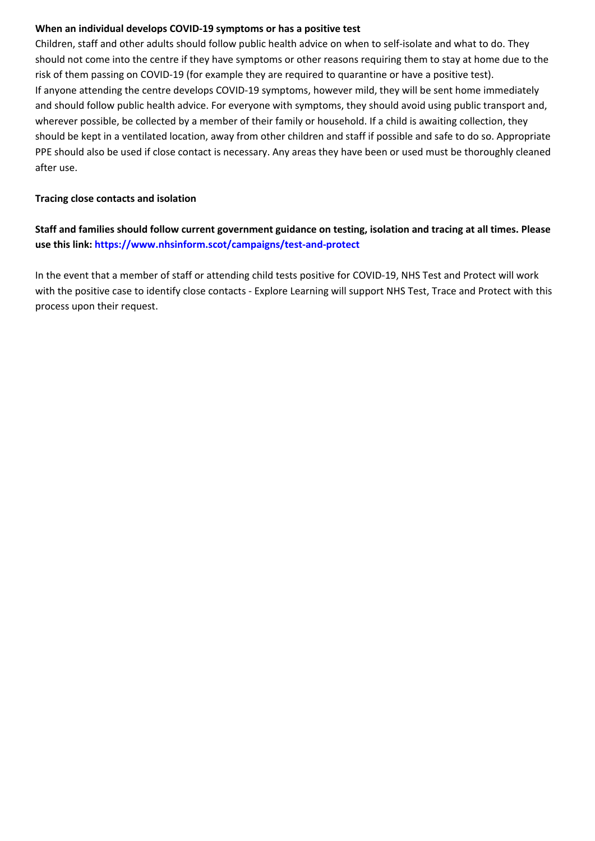## **When an individual develops COVID-19 symptoms or has a positive test**

Children, staff and other adults should follow public health advice on when to self-isolate and what to do. They should not come into the centre if they have symptoms or other reasons requiring them to stay at home due to the risk of them passing on COVID-19 (for example they are required to quarantine or have a positive test). If anyone attending the centre develops COVID-19 symptoms, however mild, they will be sent home immediately and should follow public health advice. For everyone with symptoms, they should avoid using public transport and, wherever possible, be collected by a member of their family or household. If a child is awaiting collection, they should be kept in a ventilated location, away from other children and staff if possible and safe to do so. Appropriate PPE should also be used if close contact is necessary. Any areas they have been or used must be thoroughly cleaned after use.

## **Tracing close contacts and isolation**

**Staff and families should follow current government guidance on testing, isolation and tracing at all times. Please use this link: <https://www.nhsinform.scot/campaigns/test-and-protect>**

In the event that a member of staff or attending child tests positive for COVID-19, NHS Test and Protect will work with the positive case to identify close contacts - Explore Learning will support NHS Test, Trace and Protect with this process upon their request.